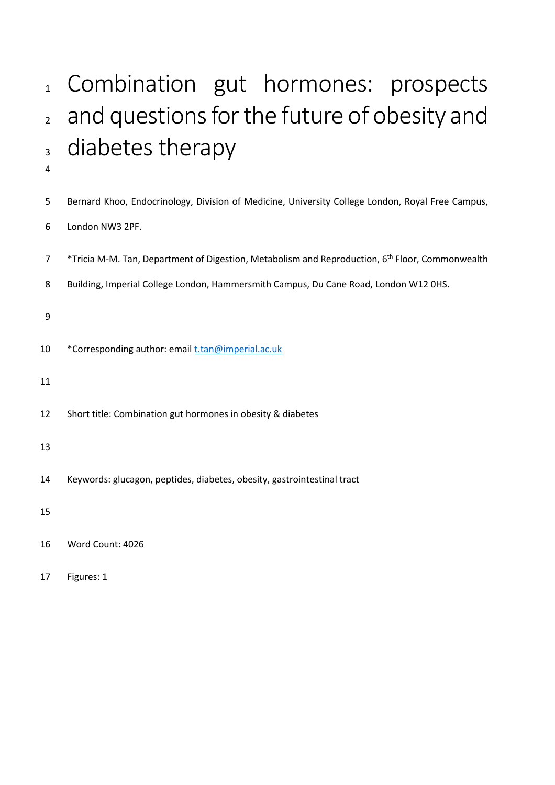# 1 Combination gut hormones: prospects 2 and questions for the future of obesity and <sup>3</sup> diabetes therapy

| 5              | Bernard Khoo, Endocrinology, Division of Medicine, University College London, Royal Free Campus,            |
|----------------|-------------------------------------------------------------------------------------------------------------|
| 6              | London NW3 2PF.                                                                                             |
| $\overline{7}$ | *Tricia M-M. Tan, Department of Digestion, Metabolism and Reproduction, 6 <sup>th</sup> Floor, Commonwealth |
| 8              | Building, Imperial College London, Hammersmith Campus, Du Cane Road, London W12 0HS.                        |
| 9              |                                                                                                             |
|                |                                                                                                             |
| 10             | *Corresponding author: email t.tan@imperial.ac.uk                                                           |
| 11             |                                                                                                             |
| 12             | Short title: Combination gut hormones in obesity & diabetes                                                 |
| 13             |                                                                                                             |
| 14             | Keywords: glucagon, peptides, diabetes, obesity, gastrointestinal tract                                     |
|                |                                                                                                             |
| 15             |                                                                                                             |
| 16             | Word Count: 4026                                                                                            |
| 17             | Figures: 1                                                                                                  |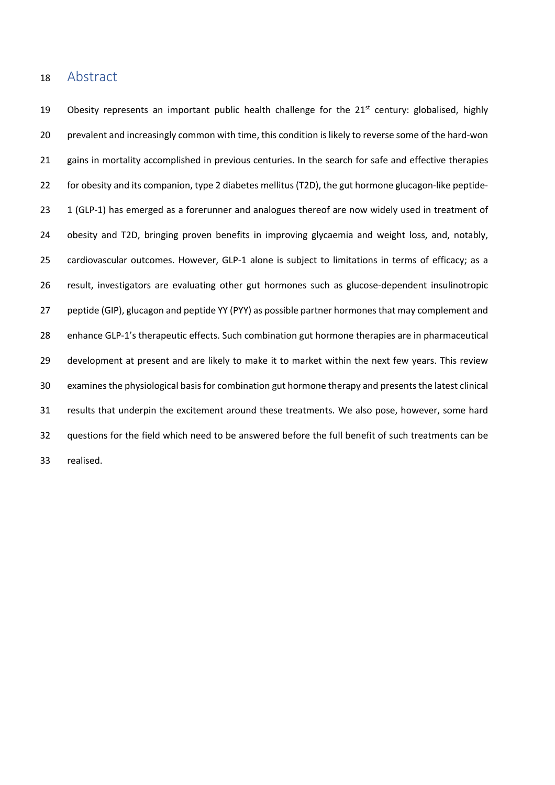#### Abstract

19 Obesity represents an important public health challenge for the  $21<sup>st</sup>$  century: globalised, highly prevalent and increasingly common with time, this condition is likely to reverse some of the hard-won 21 gains in mortality accomplished in previous centuries. In the search for safe and effective therapies for obesity and its companion, type 2 diabetes mellitus (T2D), the gut hormone glucagon-like peptide-23 1 (GLP-1) has emerged as a forerunner and analogues thereof are now widely used in treatment of obesity and T2D, bringing proven benefits in improving glycaemia and weight loss, and, notably, cardiovascular outcomes. However, GLP-1 alone is subject to limitations in terms of efficacy; as a result, investigators are evaluating other gut hormones such as glucose-dependent insulinotropic 27 peptide (GIP), glucagon and peptide YY (PYY) as possible partner hormones that may complement and enhance GLP-1's therapeutic effects. Such combination gut hormone therapies are in pharmaceutical development at present and are likely to make it to market within the next few years. This review examines the physiological basis for combination gut hormone therapy and presents the latest clinical results that underpin the excitement around these treatments. We also pose, however, some hard questions for the field which need to be answered before the full benefit of such treatments can be realised.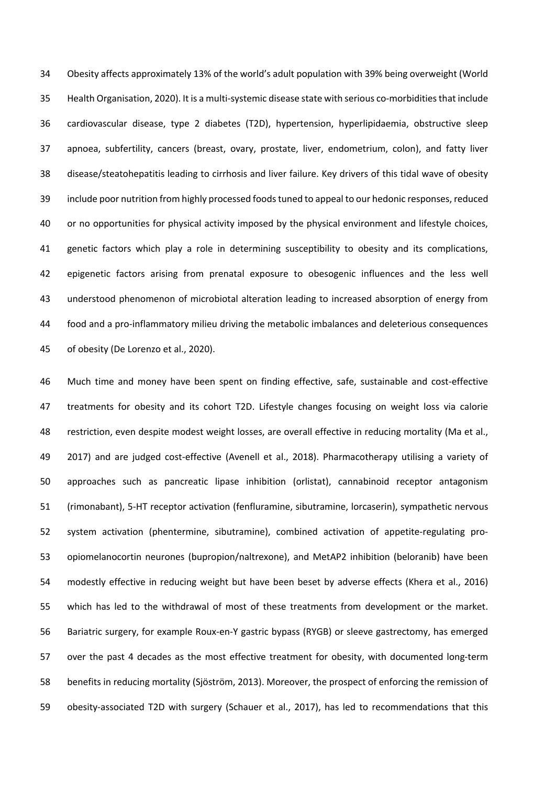Obesity affects approximately 13% of the world's adult population with 39% being overweight (World Health Organisation, 2020). It is a multi-systemic disease state with serious co-morbiditiesthat include cardiovascular disease, type 2 diabetes (T2D), hypertension, hyperlipidaemia, obstructive sleep apnoea, subfertility, cancers (breast, ovary, prostate, liver, endometrium, colon), and fatty liver disease/steatohepatitis leading to cirrhosis and liver failure. Key drivers of this tidal wave of obesity include poor nutrition from highly processed foods tuned to appeal to our hedonic responses, reduced or no opportunities for physical activity imposed by the physical environment and lifestyle choices, 41 genetic factors which play a role in determining susceptibility to obesity and its complications, epigenetic factors arising from prenatal exposure to obesogenic influences and the less well understood phenomenon of microbiotal alteration leading to increased absorption of energy from food and a pro-inflammatory milieu driving the metabolic imbalances and deleterious consequences of obesity (De Lorenzo et al., 2020).

 Much time and money have been spent on finding effective, safe, sustainable and cost-effective treatments for obesity and its cohort T2D. Lifestyle changes focusing on weight loss via calorie restriction, even despite modest weight losses, are overall effective in reducing mortality (Ma et al., 2017) and are judged cost-effective (Avenell et al., 2018). Pharmacotherapy utilising a variety of approaches such as pancreatic lipase inhibition (orlistat), cannabinoid receptor antagonism (rimonabant), 5-HT receptor activation (fenfluramine, sibutramine, lorcaserin), sympathetic nervous system activation (phentermine, sibutramine), combined activation of appetite-regulating pro- opiomelanocortin neurones (bupropion/naltrexone), and MetAP2 inhibition (beloranib) have been modestly effective in reducing weight but have been beset by adverse effects (Khera et al., 2016) which has led to the withdrawal of most of these treatments from development or the market. Bariatric surgery, for example Roux-en-Y gastric bypass (RYGB) or sleeve gastrectomy, has emerged over the past 4 decades as the most effective treatment for obesity, with documented long-term benefits in reducing mortality (Sjöström, 2013). Moreover, the prospect of enforcing the remission of obesity-associated T2D with surgery (Schauer et al., 2017), has led to recommendations that this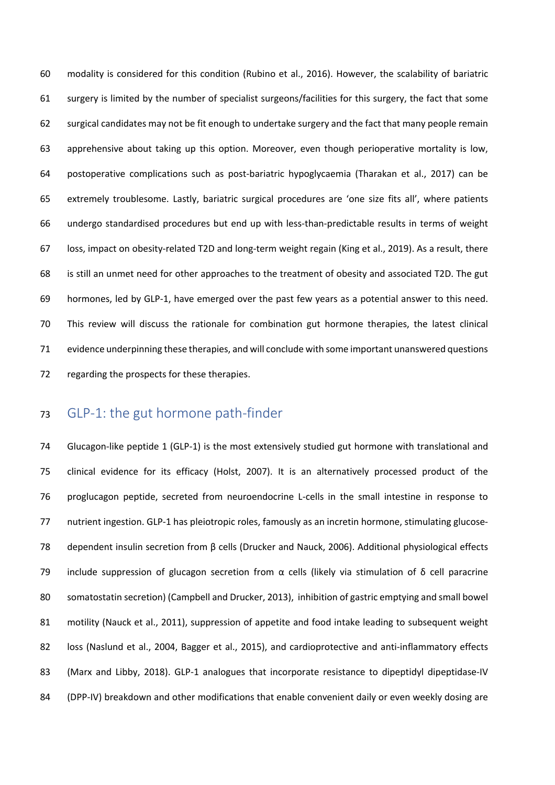modality is considered for this condition (Rubino et al., 2016). However, the scalability of bariatric surgery is limited by the number of specialist surgeons/facilities for this surgery, the fact that some surgical candidates may not be fit enough to undertake surgery and the fact that many people remain apprehensive about taking up this option. Moreover, even though perioperative mortality is low, postoperative complications such as post-bariatric hypoglycaemia (Tharakan et al., 2017) can be extremely troublesome. Lastly, bariatric surgical procedures are 'one size fits all', where patients undergo standardised procedures but end up with less-than-predictable results in terms of weight loss, impact on obesity-related T2D and long-term weight regain (King et al., 2019). As a result, there is still an unmet need for other approaches to the treatment of obesity and associated T2D. The gut hormones, led by GLP-1, have emerged over the past few years as a potential answer to this need. This review will discuss the rationale for combination gut hormone therapies, the latest clinical evidence underpinning these therapies, and will conclude with some important unanswered questions regarding the prospects for these therapies.

### GLP-1: the gut hormone path-finder

 Glucagon-like peptide 1 (GLP-1) is the most extensively studied gut hormone with translational and clinical evidence for its efficacy (Holst, 2007). It is an alternatively processed product of the proglucagon peptide, secreted from neuroendocrine L-cells in the small intestine in response to nutrient ingestion. GLP-1 has pleiotropic roles, famously as an incretin hormone, stimulating glucose- dependent insulin secretion from β cells (Drucker and Nauck, 2006). Additional physiological effects 79 include suppression of glucagon secretion from  $\alpha$  cells (likely via stimulation of  $\delta$  cell paracrine somatostatin secretion) (Campbell and Drucker, 2013), inhibition of gastric emptying and small bowel motility (Nauck et al., 2011), suppression of appetite and food intake leading to subsequent weight 82 loss (Naslund et al., 2004, Bagger et al., 2015), and cardioprotective and anti-inflammatory effects 83 (Marx and Libby, 2018). GLP-1 analogues that incorporate resistance to dipeptidyl dipeptidase-IV 84 (DPP-IV) breakdown and other modifications that enable convenient daily or even weekly dosing are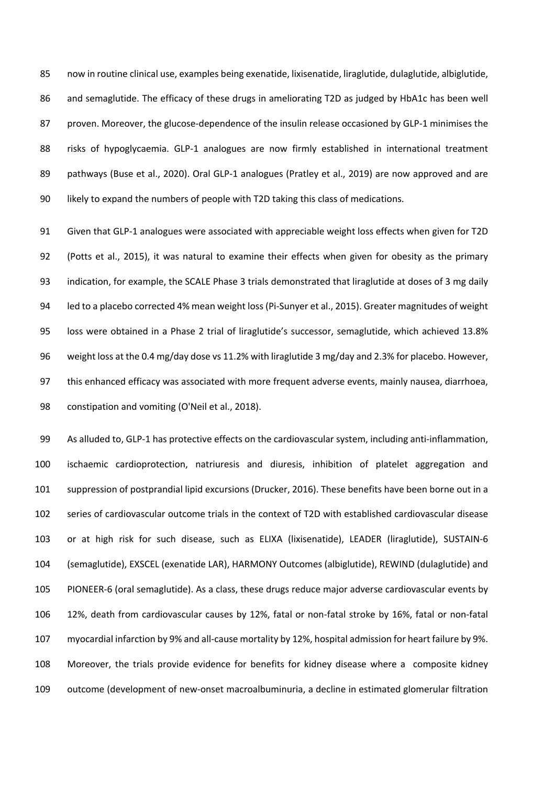now in routine clinical use, examples being exenatide, lixisenatide, liraglutide, dulaglutide, albiglutide, and semaglutide. The efficacy of these drugs in ameliorating T2D as judged by HbA1c has been well 87 proven. Moreover, the glucose-dependence of the insulin release occasioned by GLP-1 minimises the risks of hypoglycaemia. GLP-1 analogues are now firmly established in international treatment 89 pathways (Buse et al., 2020). Oral GLP-1 analogues (Pratley et al., 2019) are now approved and are likely to expand the numbers of people with T2D taking this class of medications.

 Given that GLP-1 analogues were associated with appreciable weight loss effects when given for T2D (Potts et al., 2015), it was natural to examine their effects when given for obesity as the primary indication, for example, the SCALE Phase 3 trials demonstrated that liraglutide at doses of 3 mg daily led to a placebo corrected 4% mean weight loss (Pi-Sunyer et al., 2015). Greater magnitudes of weight loss were obtained in a Phase 2 trial of liraglutide's successor, semaglutide, which achieved 13.8% weight loss at the 0.4 mg/day dose vs 11.2% with liraglutide 3 mg/day and 2.3% for placebo. However, this enhanced efficacy was associated with more frequent adverse events, mainly nausea, diarrhoea, constipation and vomiting (O'Neil et al., 2018).

 As alluded to, GLP-1 has protective effects on the cardiovascular system, including anti-inflammation, ischaemic cardioprotection, natriuresis and diuresis, inhibition of platelet aggregation and suppression of postprandial lipid excursions (Drucker, 2016). These benefits have been borne out in a series of cardiovascular outcome trials in the context of T2D with established cardiovascular disease or at high risk for such disease, such as ELIXA (lixisenatide), LEADER (liraglutide), SUSTAIN-6 (semaglutide), EXSCEL (exenatide LAR), HARMONY Outcomes (albiglutide), REWIND (dulaglutide) and PIONEER-6 (oral semaglutide). As a class, these drugs reduce major adverse cardiovascular events by 12%, death from cardiovascular causes by 12%, fatal or non-fatal stroke by 16%, fatal or non-fatal myocardial infarction by 9% and all-cause mortality by 12%, hospital admission for heart failure by 9%. Moreover, the trials provide evidence for benefits for kidney disease where a composite kidney outcome (development of new-onset macroalbuminuria, a decline in estimated glomerular filtration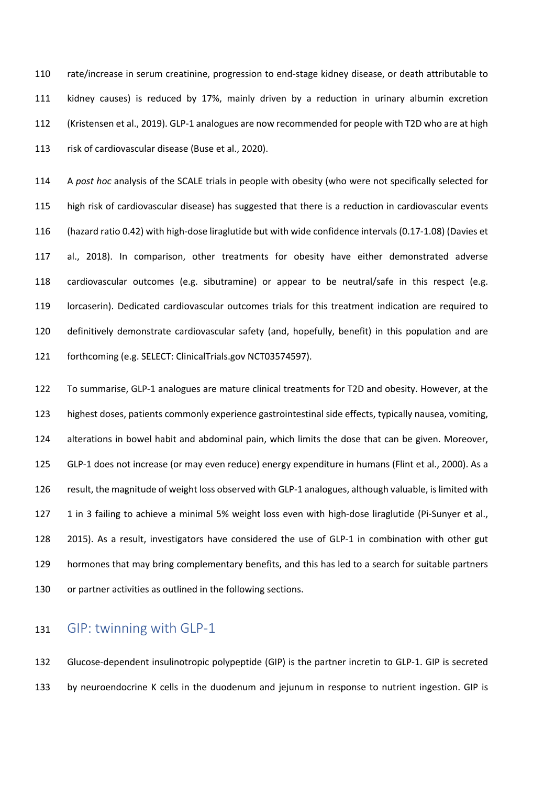rate/increase in serum creatinine, progression to end-stage kidney disease, or death attributable to kidney causes) is reduced by 17%, mainly driven by a reduction in urinary albumin excretion (Kristensen et al., 2019). GLP-1 analogues are now recommended for people with T2D who are at high risk of cardiovascular disease (Buse et al., 2020).

 A *post hoc* analysis of the SCALE trials in people with obesity (who were not specifically selected for high risk of cardiovascular disease) has suggested that there is a reduction in cardiovascular events (hazard ratio 0.42) with high-dose liraglutide but with wide confidence intervals (0.17-1.08) (Davies et al., 2018). In comparison, other treatments for obesity have either demonstrated adverse cardiovascular outcomes (e.g. sibutramine) or appear to be neutral/safe in this respect (e.g. lorcaserin). Dedicated cardiovascular outcomes trials for this treatment indication are required to definitively demonstrate cardiovascular safety (and, hopefully, benefit) in this population and are forthcoming (e.g. SELECT: ClinicalTrials.gov NCT03574597).

 To summarise, GLP-1 analogues are mature clinical treatments for T2D and obesity. However, at the highest doses, patients commonly experience gastrointestinal side effects, typically nausea, vomiting, alterations in bowel habit and abdominal pain, which limits the dose that can be given. Moreover, GLP-1 does not increase (or may even reduce) energy expenditure in humans (Flint et al., 2000). As a result, the magnitude of weight loss observed with GLP-1 analogues, although valuable, is limited with 1 in 3 failing to achieve a minimal 5% weight loss even with high-dose liraglutide (Pi-Sunyer et al., 2015). As a result, investigators have considered the use of GLP-1 in combination with other gut hormones that may bring complementary benefits, and this has led to a search for suitable partners 130 or partner activities as outlined in the following sections.

#### GIP: twinning with GLP-1

 Glucose-dependent insulinotropic polypeptide (GIP) is the partner incretin to GLP-1. GIP is secreted by neuroendocrine K cells in the duodenum and jejunum in response to nutrient ingestion. GIP is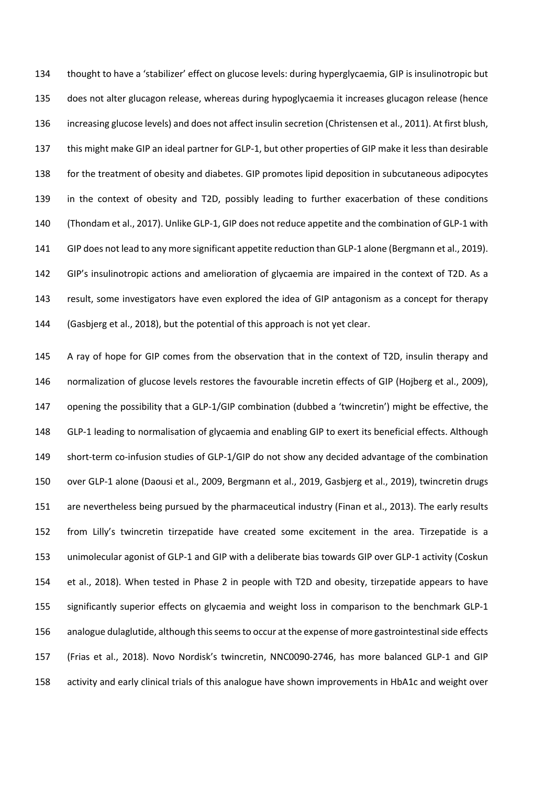thought to have a 'stabilizer' effect on glucose levels: during hyperglycaemia, GIP is insulinotropic but does not alter glucagon release, whereas during hypoglycaemia it increases glucagon release (hence increasing glucose levels) and does not affect insulin secretion (Christensen et al., 2011). At first blush, this might make GIP an ideal partner for GLP-1, but other properties of GIP make it less than desirable for the treatment of obesity and diabetes. GIP promotes lipid deposition in subcutaneous adipocytes in the context of obesity and T2D, possibly leading to further exacerbation of these conditions (Thondam et al., 2017). Unlike GLP-1, GIP does not reduce appetite and the combination of GLP-1 with GIP does not lead to any more significant appetite reduction than GLP-1 alone (Bergmann et al., 2019). GIP's insulinotropic actions and amelioration of glycaemia are impaired in the context of T2D. As a result, some investigators have even explored the idea of GIP antagonism as a concept for therapy (Gasbjerg et al., 2018), but the potential of this approach is not yet clear.

 A ray of hope for GIP comes from the observation that in the context of T2D, insulin therapy and normalization of glucose levels restores the favourable incretin effects of GIP (Hojberg et al., 2009), opening the possibility that a GLP-1/GIP combination (dubbed a 'twincretin') might be effective, the GLP-1 leading to normalisation of glycaemia and enabling GIP to exert its beneficial effects. Although short-term co-infusion studies of GLP-1/GIP do not show any decided advantage of the combination over GLP-1 alone (Daousi et al., 2009, Bergmann et al., 2019, Gasbjerg et al., 2019), twincretin drugs are nevertheless being pursued by the pharmaceutical industry (Finan et al., 2013). The early results from Lilly's twincretin tirzepatide have created some excitement in the area. Tirzepatide is a unimolecular agonist of GLP-1 and GIP with a deliberate bias towards GIP over GLP-1 activity (Coskun et al., 2018). When tested in Phase 2 in people with T2D and obesity, tirzepatide appears to have significantly superior effects on glycaemia and weight loss in comparison to the benchmark GLP-1 analogue dulaglutide, although this seems to occur at the expense of more gastrointestinal side effects (Frias et al., 2018). Novo Nordisk's twincretin, NNC0090-2746, has more balanced GLP-1 and GIP activity and early clinical trials of this analogue have shown improvements in HbA1c and weight over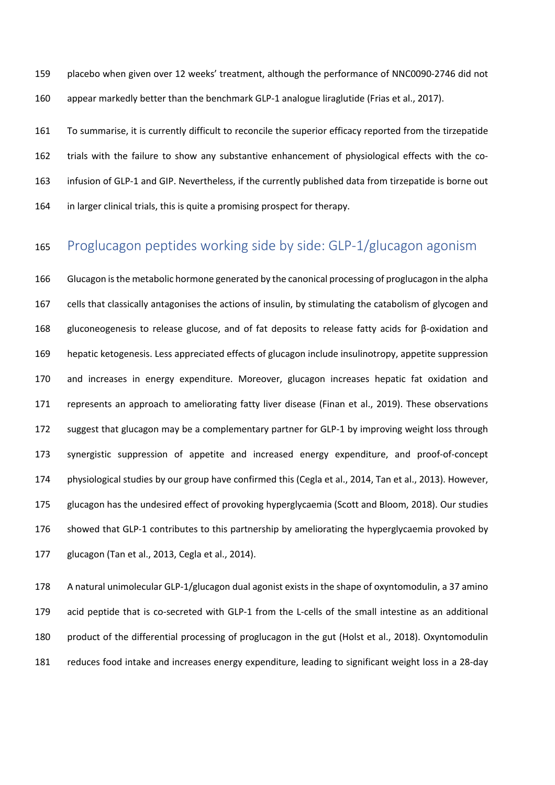placebo when given over 12 weeks' treatment, although the performance of NNC0090-2746 did not appear markedly better than the benchmark GLP-1 analogue liraglutide (Frias et al., 2017).

 To summarise, it is currently difficult to reconcile the superior efficacy reported from the tirzepatide trials with the failure to show any substantive enhancement of physiological effects with the co- infusion of GLP-1 and GIP. Nevertheless, if the currently published data from tirzepatide is borne out in larger clinical trials, this is quite a promising prospect for therapy.

# Proglucagon peptides working side by side: GLP-1/glucagon agonism

 Glucagon isthe metabolic hormone generated by the canonical processing of proglucagon in the alpha cells that classically antagonises the actions of insulin, by stimulating the catabolism of glycogen and gluconeogenesis to release glucose, and of fat deposits to release fatty acids for β-oxidation and hepatic ketogenesis. Less appreciated effects of glucagon include insulinotropy, appetite suppression and increases in energy expenditure. Moreover, glucagon increases hepatic fat oxidation and represents an approach to ameliorating fatty liver disease (Finan et al., 2019). These observations suggest that glucagon may be a complementary partner for GLP-1 by improving weight loss through synergistic suppression of appetite and increased energy expenditure, and proof-of-concept physiological studies by our group have confirmed this (Cegla et al., 2014, Tan et al., 2013). However, glucagon has the undesired effect of provoking hyperglycaemia (Scott and Bloom, 2018). Our studies showed that GLP-1 contributes to this partnership by ameliorating the hyperglycaemia provoked by glucagon (Tan et al., 2013, Cegla et al., 2014).

 A natural unimolecular GLP-1/glucagon dual agonist exists in the shape of oxyntomodulin, a 37 amino acid peptide that is co-secreted with GLP-1 from the L-cells of the small intestine as an additional product of the differential processing of proglucagon in the gut (Holst et al., 2018). Oxyntomodulin reduces food intake and increases energy expenditure, leading to significant weight loss in a 28-day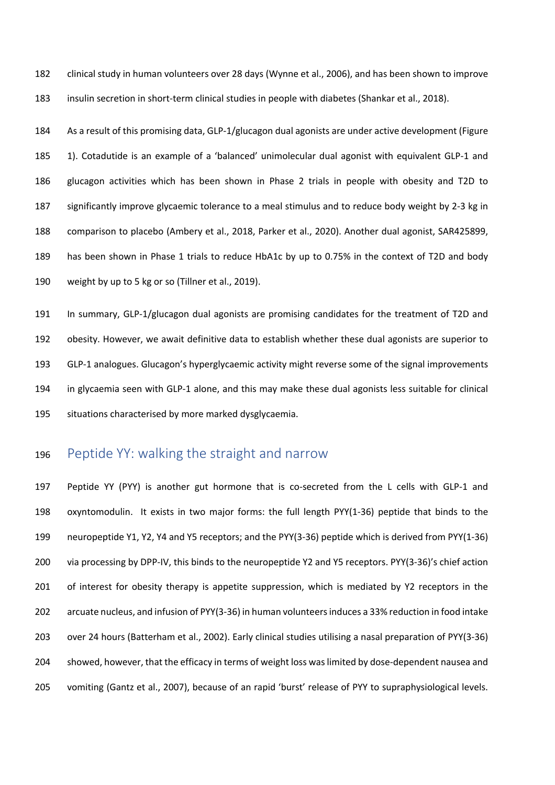clinical study in human volunteers over 28 days (Wynne et al., 2006), and has been shown to improve insulin secretion in short-term clinical studies in people with diabetes (Shankar et al., 2018).

 As a result of this promising data, GLP-1/glucagon dual agonists are under active development (Figure 1). Cotadutide is an example of a 'balanced' unimolecular dual agonist with equivalent GLP-1 and glucagon activities which has been shown in Phase 2 trials in people with obesity and T2D to significantly improve glycaemic tolerance to a meal stimulus and to reduce body weight by 2-3 kg in comparison to placebo (Ambery et al., 2018, Parker et al., 2020). Another dual agonist, SAR425899, has been shown in Phase 1 trials to reduce HbA1c by up to 0.75% in the context of T2D and body weight by up to 5 kg or so (Tillner et al., 2019).

 In summary, GLP-1/glucagon dual agonists are promising candidates for the treatment of T2D and obesity. However, we await definitive data to establish whether these dual agonists are superior to GLP-1 analogues. Glucagon's hyperglycaemic activity might reverse some of the signal improvements in glycaemia seen with GLP-1 alone, and this may make these dual agonists less suitable for clinical situations characterised by more marked dysglycaemia.

# Peptide YY: walking the straight and narrow

 Peptide YY (PYY) is another gut hormone that is co-secreted from the L cells with GLP-1 and oxyntomodulin. It exists in two major forms: the full length PYY(1-36) peptide that binds to the neuropeptide Y1, Y2, Y4 and Y5 receptors; and the PYY(3-36) peptide which is derived from PYY(1-36) via processing by DPP-IV, this binds to the neuropeptide Y2 and Y5 receptors. PYY(3-36)'s chief action 201 of interest for obesity therapy is appetite suppression, which is mediated by Y2 receptors in the arcuate nucleus, and infusion of PYY(3-36) in human volunteers induces a 33% reduction in food intake over 24 hours (Batterham et al., 2002). Early clinical studies utilising a nasal preparation of PYY(3-36) showed, however, that the efficacy in terms of weight loss was limited by dose-dependent nausea and vomiting (Gantz et al., 2007), because of an rapid 'burst' release of PYY to supraphysiological levels.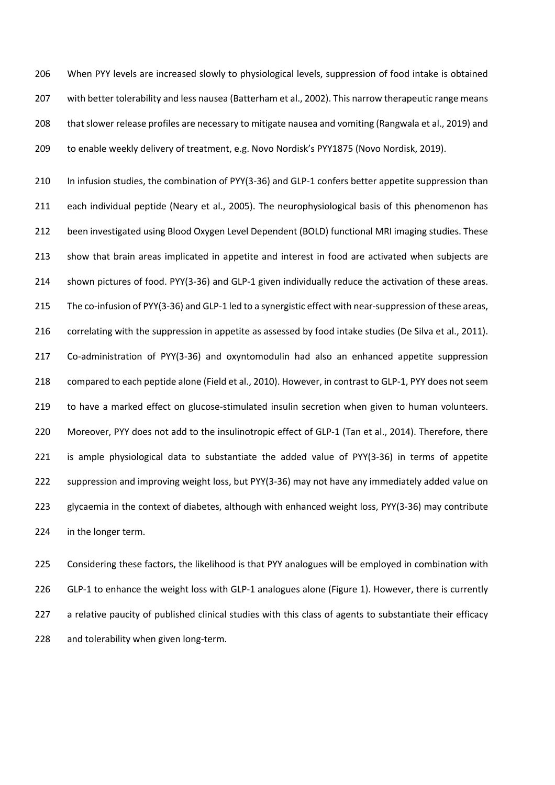When PYY levels are increased slowly to physiological levels, suppression of food intake is obtained with better tolerability and less nausea (Batterham et al., 2002). This narrow therapeutic range means that slower release profiles are necessary to mitigate nausea and vomiting (Rangwala et al., 2019) and to enable weekly delivery of treatment, e.g. Novo Nordisk's PYY1875 (Novo Nordisk, 2019).

210 In infusion studies, the combination of PYY(3-36) and GLP-1 confers better appetite suppression than each individual peptide (Neary et al., 2005). The neurophysiological basis of this phenomenon has been investigated using Blood Oxygen Level Dependent (BOLD) functional MRI imaging studies. These show that brain areas implicated in appetite and interest in food are activated when subjects are shown pictures of food. PYY(3-36) and GLP-1 given individually reduce the activation of these areas. The co-infusion of PYY(3-36) and GLP-1 led to a synergistic effect with near-suppression of these areas, correlating with the suppression in appetite as assessed by food intake studies (De Silva et al., 2011). Co-administration of PYY(3-36) and oxyntomodulin had also an enhanced appetite suppression compared to each peptide alone (Field et al., 2010). However, in contrast to GLP-1, PYY does not seem to have a marked effect on glucose-stimulated insulin secretion when given to human volunteers. Moreover, PYY does not add to the insulinotropic effect of GLP-1 (Tan et al., 2014). Therefore, there is ample physiological data to substantiate the added value of PYY(3-36) in terms of appetite suppression and improving weight loss, but PYY(3-36) may not have any immediately added value on glycaemia in the context of diabetes, although with enhanced weight loss, PYY(3-36) may contribute in the longer term.

 Considering these factors, the likelihood is that PYY analogues will be employed in combination with 226 GLP-1 to enhance the weight loss with GLP-1 analogues alone (Figure 1). However, there is currently a relative paucity of published clinical studies with this class of agents to substantiate their efficacy 228 and tolerability when given long-term.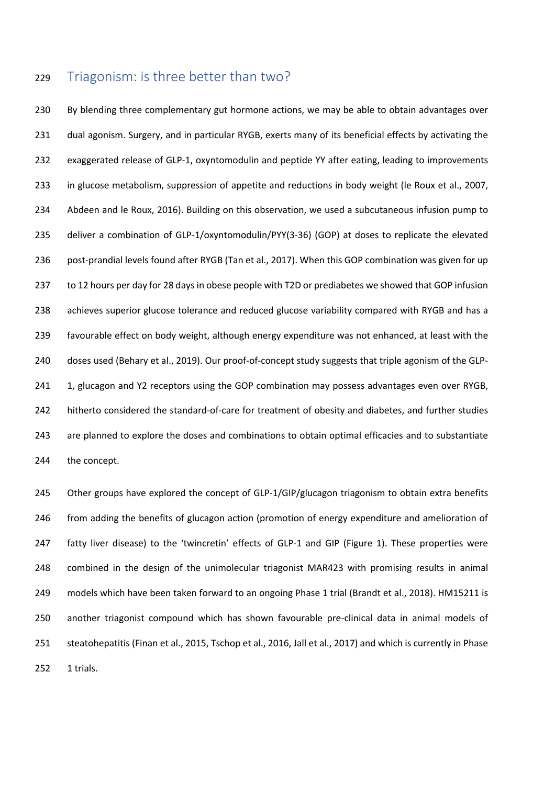### Triagonism: is three better than two?

 By blending three complementary gut hormone actions, we may be able to obtain advantages over dual agonism. Surgery, and in particular RYGB, exerts many of its beneficial effects by activating the exaggerated release of GLP-1, oxyntomodulin and peptide YY after eating, leading to improvements in glucose metabolism, suppression of appetite and reductions in body weight (le Roux et al., 2007, Abdeen and le Roux, 2016). Building on this observation, we used a subcutaneous infusion pump to deliver a combination of GLP-1/oxyntomodulin/PYY(3-36) (GOP) at doses to replicate the elevated post-prandial levels found after RYGB (Tan et al., 2017). When this GOP combination was given for up to 12 hours per day for 28 days in obese people with T2D or prediabetes we showed that GOP infusion 238 achieves superior glucose tolerance and reduced glucose variability compared with RYGB and has a favourable effect on body weight, although energy expenditure was not enhanced, at least with the doses used (Behary et al., 2019). Our proof-of-concept study suggests that triple agonism of the GLP-241 1, glucagon and Y2 receptors using the GOP combination may possess advantages even over RYGB, hitherto considered the standard-of-care for treatment of obesity and diabetes, and further studies are planned to explore the doses and combinations to obtain optimal efficacies and to substantiate the concept.

245 Other groups have explored the concept of GLP-1/GIP/glucagon triagonism to obtain extra benefits from adding the benefits of glucagon action (promotion of energy expenditure and amelioration of fatty liver disease) to the 'twincretin' effects of GLP-1 and GIP (Figure 1). These properties were combined in the design of the unimolecular triagonist MAR423 with promising results in animal models which have been taken forward to an ongoing Phase 1 trial (Brandt et al., 2018). HM15211 is another triagonist compound which has shown favourable pre-clinical data in animal models of steatohepatitis (Finan et al., 2015, Tschop et al., 2016, Jall et al., 2017) and which is currently in Phase 1 trials.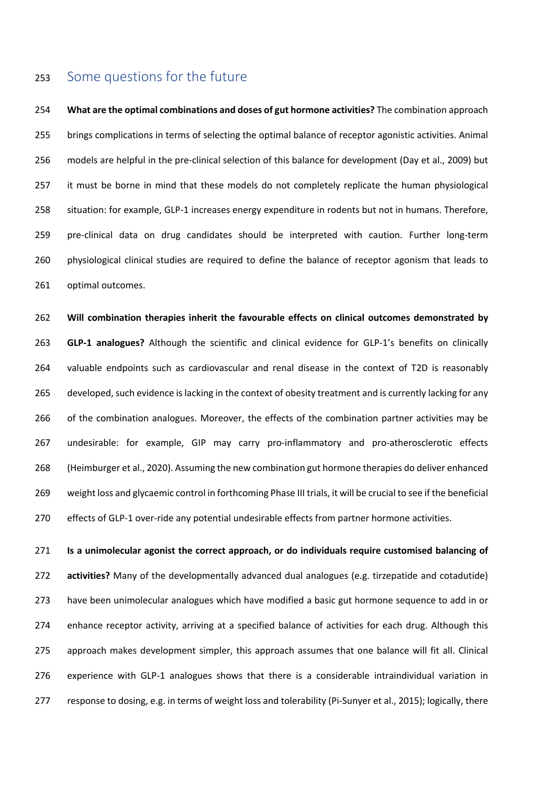### Some questions for the future

 **What are the optimal combinations and doses of gut hormone activities?** The combination approach brings complications in terms of selecting the optimal balance of receptor agonistic activities. Animal models are helpful in the pre-clinical selection of this balance for development (Day et al., 2009) but it must be borne in mind that these models do not completely replicate the human physiological situation: for example, GLP-1 increases energy expenditure in rodents but not in humans. Therefore, pre-clinical data on drug candidates should be interpreted with caution. Further long-term physiological clinical studies are required to define the balance of receptor agonism that leads to optimal outcomes.

 **Will combination therapies inherit the favourable effects on clinical outcomes demonstrated by GLP-1 analogues?** Although the scientific and clinical evidence for GLP-1's benefits on clinically valuable endpoints such as cardiovascular and renal disease in the context of T2D is reasonably developed, such evidence is lacking in the context of obesity treatment and is currently lacking for any 266 of the combination analogues. Moreover, the effects of the combination partner activities may be undesirable: for example, GIP may carry pro-inflammatory and pro-atherosclerotic effects (Heimburger et al., 2020). Assuming the new combination gut hormone therapies do deliver enhanced weight loss and glycaemic control in forthcoming Phase III trials, it will be crucial to see if the beneficial effects of GLP-1 over-ride any potential undesirable effects from partner hormone activities.

 **Is a unimolecular agonist the correct approach, or do individuals require customised balancing of activities?** Many of the developmentally advanced dual analogues (e.g. tirzepatide and cotadutide) have been unimolecular analogues which have modified a basic gut hormone sequence to add in or enhance receptor activity, arriving at a specified balance of activities for each drug. Although this approach makes development simpler, this approach assumes that one balance will fit all. Clinical experience with GLP-1 analogues shows that there is a considerable intraindividual variation in 277 response to dosing, e.g. in terms of weight loss and tolerability (Pi-Sunyer et al., 2015); logically, there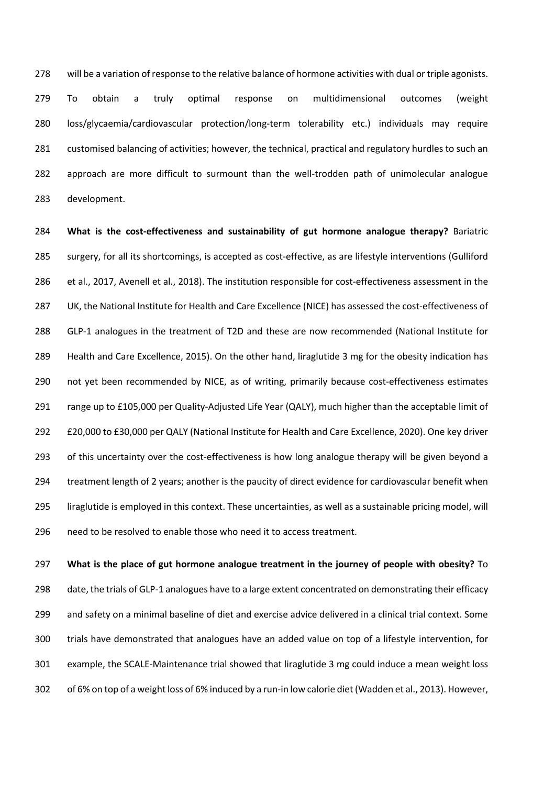will be a variation of response to the relative balance of hormone activities with dual or triple agonists. To obtain a truly optimal response on multidimensional outcomes (weight loss/glycaemia/cardiovascular protection/long-term tolerability etc.) individuals may require customised balancing of activities; however, the technical, practical and regulatory hurdles to such an approach are more difficult to surmount than the well-trodden path of unimolecular analogue development.

 **What is the cost-effectiveness and sustainability of gut hormone analogue therapy?** Bariatric surgery, for all its shortcomings, is accepted as cost-effective, as are lifestyle interventions (Gulliford et al., 2017, Avenell et al., 2018). The institution responsible for cost-effectiveness assessment in the UK, the National Institute for Health and Care Excellence (NICE) has assessed the cost-effectiveness of GLP-1 analogues in the treatment of T2D and these are now recommended (National Institute for Health and Care Excellence, 2015). On the other hand, liraglutide 3 mg for the obesity indication has 290 not yet been recommended by NICE, as of writing, primarily because cost-effectiveness estimates range up to £105,000 per Quality-Adjusted Life Year (QALY), much higher than the acceptable limit of £20,000 to £30,000 per QALY (National Institute for Health and Care Excellence, 2020). One key driver 293 of this uncertainty over the cost-effectiveness is how long analogue therapy will be given beyond a treatment length of 2 years; another is the paucity of direct evidence for cardiovascular benefit when liraglutide is employed in this context. These uncertainties, as well as a sustainable pricing model, will need to be resolved to enable those who need it to access treatment.

 **What is the place of gut hormone analogue treatment in the journey of people with obesity?** To 298 date, the trials of GLP-1 analogues have to a large extent concentrated on demonstrating their efficacy and safety on a minimal baseline of diet and exercise advice delivered in a clinical trial context. Some trials have demonstrated that analogues have an added value on top of a lifestyle intervention, for example, the SCALE-Maintenance trial showed that liraglutide 3 mg could induce a mean weight loss of 6% on top of a weight loss of 6% induced by a run-in low calorie diet (Wadden et al., 2013). However,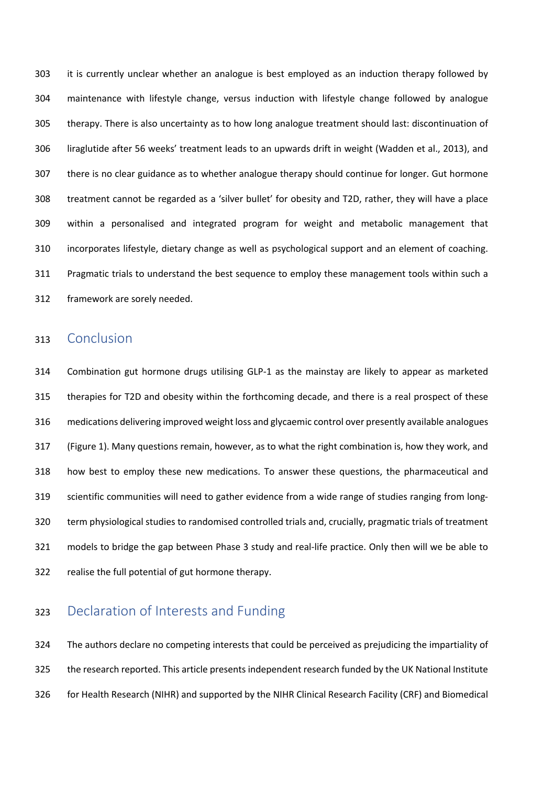it is currently unclear whether an analogue is best employed as an induction therapy followed by maintenance with lifestyle change, versus induction with lifestyle change followed by analogue therapy. There is also uncertainty as to how long analogue treatment should last: discontinuation of liraglutide after 56 weeks' treatment leads to an upwards drift in weight (Wadden et al., 2013), and there is no clear guidance as to whether analogue therapy should continue for longer. Gut hormone treatment cannot be regarded as a 'silver bullet' for obesity and T2D, rather, they will have a place within a personalised and integrated program for weight and metabolic management that incorporates lifestyle, dietary change as well as psychological support and an element of coaching. Pragmatic trials to understand the best sequence to employ these management tools within such a framework are sorely needed.

#### Conclusion

 Combination gut hormone drugs utilising GLP-1 as the mainstay are likely to appear as marketed therapies for T2D and obesity within the forthcoming decade, and there is a real prospect of these medications delivering improved weight loss and glycaemic control over presently available analogues (Figure 1). Many questions remain, however, as to what the right combination is, how they work, and how best to employ these new medications. To answer these questions, the pharmaceutical and scientific communities will need to gather evidence from a wide range of studies ranging from long- term physiological studies to randomised controlled trials and, crucially, pragmatic trials of treatment models to bridge the gap between Phase 3 study and real-life practice. Only then will we be able to realise the full potential of gut hormone therapy.

# Declaration of Interests and Funding

 The authors declare no competing interests that could be perceived as prejudicing the impartiality of the research reported. This article presents independent research funded by the UK National Institute for Health Research (NIHR) and supported by the NIHR Clinical Research Facility (CRF) and Biomedical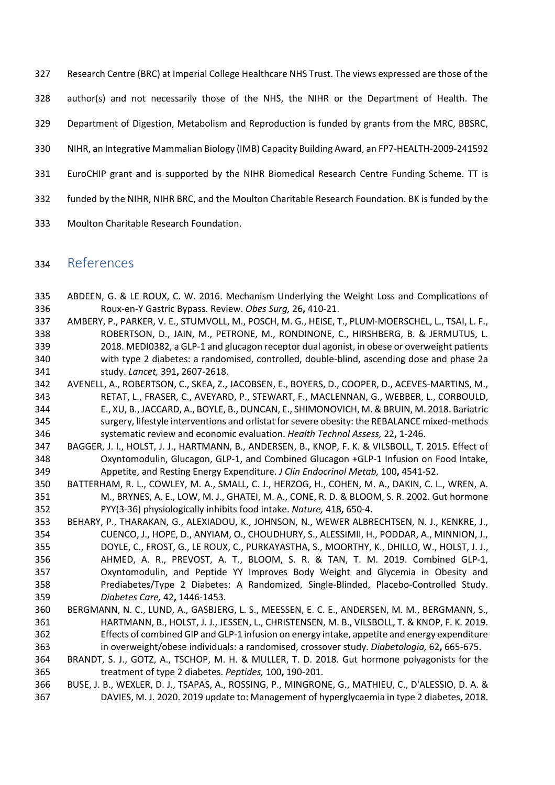- Research Centre (BRC) at Imperial College Healthcare NHS Trust. The views expressed are those of the
- author(s) and not necessarily those of the NHS, the NIHR or the Department of Health. The
- Department of Digestion, Metabolism and Reproduction is funded by grants from the MRC, BBSRC,
- NIHR, an Integrative Mammalian Biology (IMB) Capacity Building Award, an FP7-HEALTH-2009-241592
- EuroCHIP grant and is supported by the NIHR Biomedical Research Centre Funding Scheme. TT is
- funded by the NIHR, NIHR BRC, and the Moulton Charitable Research Foundation. BK is funded by the
- Moulton Charitable Research Foundation.

#### References

- ABDEEN, G. & LE ROUX, C. W. 2016. Mechanism Underlying the Weight Loss and Complications of Roux-en-Y Gastric Bypass. Review. *Obes Surg,* 26**,** 410-21.
- AMBERY, P., PARKER, V. E., STUMVOLL, M., POSCH, M. G., HEISE, T., PLUM-MOERSCHEL, L., TSAI, L. F., ROBERTSON, D., JAIN, M., PETRONE, M., RONDINONE, C., HIRSHBERG, B. & JERMUTUS, L. 2018. MEDI0382, a GLP-1 and glucagon receptor dual agonist, in obese or overweight patients with type 2 diabetes: a randomised, controlled, double-blind, ascending dose and phase 2a study. *Lancet,* 391**,** 2607-2618.
- AVENELL, A., ROBERTSON, C., SKEA, Z., JACOBSEN, E., BOYERS, D., COOPER, D., ACEVES-MARTINS, M., RETAT, L., FRASER, C., AVEYARD, P., STEWART, F., MACLENNAN, G., WEBBER, L., CORBOULD, E., XU, B., JACCARD, A., BOYLE, B., DUNCAN, E., SHIMONOVICH, M. & BRUIN, M. 2018. Bariatric surgery, lifestyle interventions and orlistat for severe obesity: the REBALANCE mixed-methods systematic review and economic evaluation. *Health Technol Assess,* 22**,** 1-246.
- BAGGER, J. I., HOLST, J. J., HARTMANN, B., ANDERSEN, B., KNOP, F. K. & VILSBOLL, T. 2015. Effect of Oxyntomodulin, Glucagon, GLP-1, and Combined Glucagon +GLP-1 Infusion on Food Intake, Appetite, and Resting Energy Expenditure. *J Clin Endocrinol Metab,* 100**,** 4541-52.
- BATTERHAM, R. L., COWLEY, M. A., SMALL, C. J., HERZOG, H., COHEN, M. A., DAKIN, C. L., WREN, A. M., BRYNES, A. E., LOW, M. J., GHATEI, M. A., CONE, R. D. & BLOOM, S. R. 2002. Gut hormone PYY(3-36) physiologically inhibits food intake. *Nature,* 418**,** 650-4.
- BEHARY, P., THARAKAN, G., ALEXIADOU, K., JOHNSON, N., WEWER ALBRECHTSEN, N. J., KENKRE, J., CUENCO, J., HOPE, D., ANYIAM, O., CHOUDHURY, S., ALESSIMII, H., PODDAR, A., MINNION, J., DOYLE, C., FROST, G., LE ROUX, C., PURKAYASTHA, S., MOORTHY, K., DHILLO, W., HOLST, J. J., AHMED, A. R., PREVOST, A. T., BLOOM, S. R. & TAN, T. M. 2019. Combined GLP-1, Oxyntomodulin, and Peptide YY Improves Body Weight and Glycemia in Obesity and Prediabetes/Type 2 Diabetes: A Randomized, Single-Blinded, Placebo-Controlled Study. *Diabetes Care,* 42**,** 1446-1453.
- BERGMANN, N. C., LUND, A., GASBJERG, L. S., MEESSEN, E. C. E., ANDERSEN, M. M., BERGMANN, S., HARTMANN, B., HOLST, J. J., JESSEN, L., CHRISTENSEN, M. B., VILSBOLL, T. & KNOP, F. K. 2019. Effects of combined GIP and GLP-1 infusion on energy intake, appetite and energy expenditure in overweight/obese individuals: a randomised, crossover study. *Diabetologia,* 62**,** 665-675.
- BRANDT, S. J., GOTZ, A., TSCHOP, M. H. & MULLER, T. D. 2018. Gut hormone polyagonists for the treatment of type 2 diabetes. *Peptides,* 100**,** 190-201.
- BUSE, J. B., WEXLER, D. J., TSAPAS, A., ROSSING, P., MINGRONE, G., MATHIEU, C., D'ALESSIO, D. A. & DAVIES, M. J. 2020. 2019 update to: Management of hyperglycaemia in type 2 diabetes, 2018.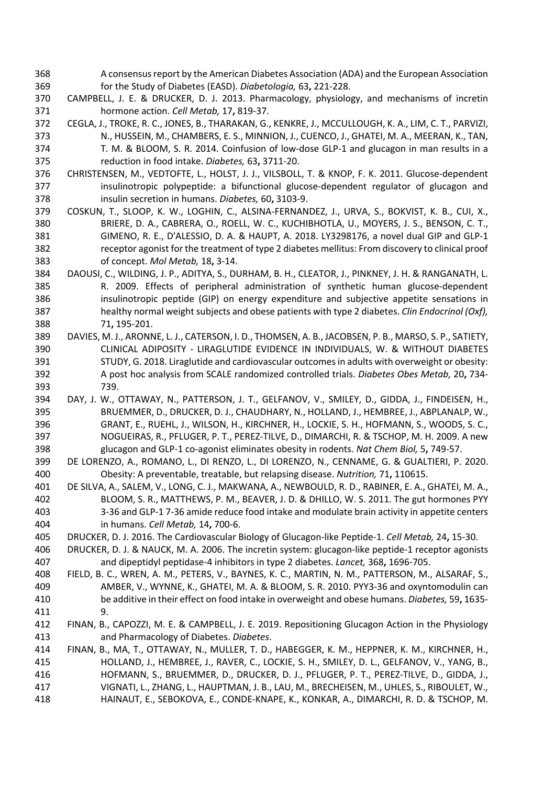- A consensus report by the American Diabetes Association (ADA) and the European Association for the Study of Diabetes (EASD). *Diabetologia,* 63**,** 221-228.
- CAMPBELL, J. E. & DRUCKER, D. J. 2013. Pharmacology, physiology, and mechanisms of incretin hormone action. *Cell Metab,* 17**,** 819-37.
- CEGLA, J., TROKE, R. C., JONES, B., THARAKAN, G., KENKRE, J., MCCULLOUGH, K. A., LIM, C. T., PARVIZI, N., HUSSEIN, M., CHAMBERS, E. S., MINNION, J., CUENCO, J., GHATEI, M. A., MEERAN, K., TAN, T. M. & BLOOM, S. R. 2014. Coinfusion of low-dose GLP-1 and glucagon in man results in a reduction in food intake. *Diabetes,* 63**,** 3711-20.
- CHRISTENSEN, M., VEDTOFTE, L., HOLST, J. J., VILSBOLL, T. & KNOP, F. K. 2011. Glucose-dependent 377 insulinotropic polypeptide: a bifunctional glucose-dependent regulator of glucagon and insulin secretion in humans. *Diabetes,* 60**,** 3103-9.
- COSKUN, T., SLOOP, K. W., LOGHIN, C., ALSINA-FERNANDEZ, J., URVA, S., BOKVIST, K. B., CUI, X., BRIERE, D. A., CABRERA, O., ROELL, W. C., KUCHIBHOTLA, U., MOYERS, J. S., BENSON, C. T., GIMENO, R. E., D'ALESSIO, D. A. & HAUPT, A. 2018. LY3298176, a novel dual GIP and GLP-1 receptor agonist for the treatment of type 2 diabetes mellitus: From discovery to clinical proof of concept. *Mol Metab,* 18**,** 3-14.
- DAOUSI, C., WILDING, J. P., ADITYA, S., DURHAM, B. H., CLEATOR, J., PINKNEY, J. H. & RANGANATH, L. R. 2009. Effects of peripheral administration of synthetic human glucose-dependent 386 insulinotropic peptide (GIP) on energy expenditure and subjective appetite sensations in healthy normal weight subjects and obese patients with type 2 diabetes. *Clin Endocrinol (Oxf),* 71**,** 195-201.
- DAVIES, M. J., ARONNE, L. J., CATERSON, I. D., THOMSEN, A. B., JACOBSEN, P. B., MARSO, S. P., SATIETY, CLINICAL ADIPOSITY - LIRAGLUTIDE EVIDENCE IN INDIVIDUALS, W. & WITHOUT DIABETES STUDY, G. 2018. Liraglutide and cardiovascular outcomes in adults with overweight or obesity: A post hoc analysis from SCALE randomized controlled trials. *Diabetes Obes Metab,* 20**,** 734- 739.
- DAY, J. W., OTTAWAY, N., PATTERSON, J. T., GELFANOV, V., SMILEY, D., GIDDA, J., FINDEISEN, H., BRUEMMER, D., DRUCKER, D. J., CHAUDHARY, N., HOLLAND, J., HEMBREE, J., ABPLANALP, W., GRANT, E., RUEHL, J., WILSON, H., KIRCHNER, H., LOCKIE, S. H., HOFMANN, S., WOODS, S. C., NOGUEIRAS, R., PFLUGER, P. T., PEREZ-TILVE, D., DIMARCHI, R. & TSCHOP, M. H. 2009. A new glucagon and GLP-1 co-agonist eliminates obesity in rodents. *Nat Chem Biol,* 5**,** 749-57.
- DE LORENZO, A., ROMANO, L., DI RENZO, L., DI LORENZO, N., CENNAME, G. & GUALTIERI, P. 2020. Obesity: A preventable, treatable, but relapsing disease. *Nutrition,* 71**,** 110615.
- DE SILVA, A., SALEM, V., LONG, C. J., MAKWANA, A., NEWBOULD, R. D., RABINER, E. A., GHATEI, M. A., BLOOM, S. R., MATTHEWS, P. M., BEAVER, J. D. & DHILLO, W. S. 2011. The gut hormones PYY 3-36 and GLP-1 7-36 amide reduce food intake and modulate brain activity in appetite centers in humans. *Cell Metab,* 14**,** 700-6.
- DRUCKER, D. J. 2016. The Cardiovascular Biology of Glucagon-like Peptide-1. *Cell Metab,* 24**,** 15-30.
- DRUCKER, D. J. & NAUCK, M. A. 2006. The incretin system: glucagon-like peptide-1 receptor agonists and dipeptidyl peptidase-4 inhibitors in type 2 diabetes. *Lancet,* 368**,** 1696-705.
- FIELD, B. C., WREN, A. M., PETERS, V., BAYNES, K. C., MARTIN, N. M., PATTERSON, M., ALSARAF, S., AMBER, V., WYNNE, K., GHATEI, M. A. & BLOOM, S. R. 2010. PYY3-36 and oxyntomodulin can be additive in their effect on food intake in overweight and obese humans. *Diabetes,* 59**,** 1635- 9.
- FINAN, B., CAPOZZI, M. E. & CAMPBELL, J. E. 2019. Repositioning Glucagon Action in the Physiology and Pharmacology of Diabetes. *Diabetes*.
- FINAN, B., MA, T., OTTAWAY, N., MULLER, T. D., HABEGGER, K. M., HEPPNER, K. M., KIRCHNER, H., HOLLAND, J., HEMBREE, J., RAVER, C., LOCKIE, S. H., SMILEY, D. L., GELFANOV, V., YANG, B., HOFMANN, S., BRUEMMER, D., DRUCKER, D. J., PFLUGER, P. T., PEREZ-TILVE, D., GIDDA, J., VIGNATI, L., ZHANG, L., HAUPTMAN, J. B., LAU, M., BRECHEISEN, M., UHLES, S., RIBOULET, W., HAINAUT, E., SEBOKOVA, E., CONDE-KNAPE, K., KONKAR, A., DIMARCHI, R. D. & TSCHOP, M.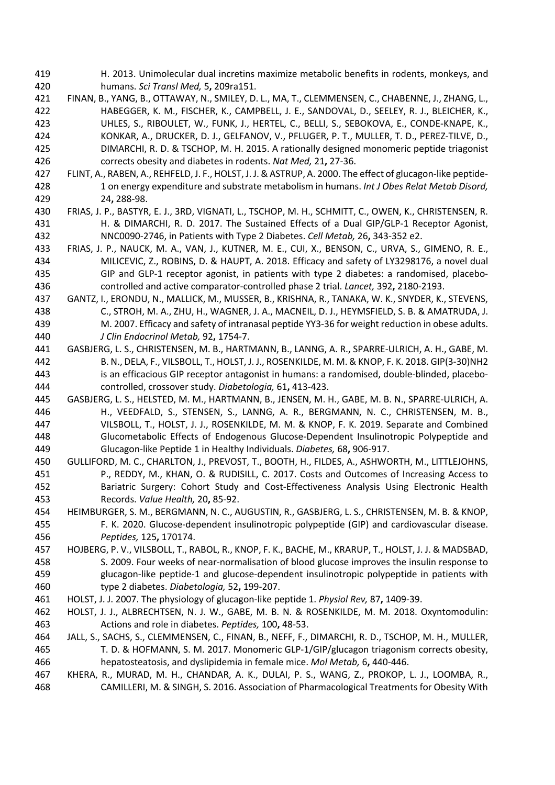- H. 2013. Unimolecular dual incretins maximize metabolic benefits in rodents, monkeys, and humans. *Sci Transl Med,* 5**,** 209ra151.
- FINAN, B., YANG, B., OTTAWAY, N., SMILEY, D. L., MA, T., CLEMMENSEN, C., CHABENNE, J., ZHANG, L., HABEGGER, K. M., FISCHER, K., CAMPBELL, J. E., SANDOVAL, D., SEELEY, R. J., BLEICHER, K., UHLES, S., RIBOULET, W., FUNK, J., HERTEL, C., BELLI, S., SEBOKOVA, E., CONDE-KNAPE, K., KONKAR, A., DRUCKER, D. J., GELFANOV, V., PFLUGER, P. T., MULLER, T. D., PEREZ-TILVE, D., DIMARCHI, R. D. & TSCHOP, M. H. 2015. A rationally designed monomeric peptide triagonist corrects obesity and diabetes in rodents. *Nat Med,* 21**,** 27-36.
- FLINT, A., RABEN, A., REHFELD, J. F., HOLST, J. J. & ASTRUP, A. 2000. The effect of glucagon-like peptide- 1 on energy expenditure and substrate metabolism in humans. *Int J Obes Relat Metab Disord,* 24**,** 288-98.
- FRIAS, J. P., BASTYR, E. J., 3RD, VIGNATI, L., TSCHOP, M. H., SCHMITT, C., OWEN, K., CHRISTENSEN, R. H. & DIMARCHI, R. D. 2017. The Sustained Effects of a Dual GIP/GLP-1 Receptor Agonist, NNC0090-2746, in Patients with Type 2 Diabetes. *Cell Metab,* 26**,** 343-352 e2.
- FRIAS, J. P., NAUCK, M. A., VAN, J., KUTNER, M. E., CUI, X., BENSON, C., URVA, S., GIMENO, R. E., MILICEVIC, Z., ROBINS, D. & HAUPT, A. 2018. Efficacy and safety of LY3298176, a novel dual GIP and GLP-1 receptor agonist, in patients with type 2 diabetes: a randomised, placebo-controlled and active comparator-controlled phase 2 trial. *Lancet,* 392**,** 2180-2193.
- GANTZ, I., ERONDU, N., MALLICK, M., MUSSER, B., KRISHNA, R., TANAKA, W. K., SNYDER, K., STEVENS, C., STROH, M. A., ZHU, H., WAGNER, J. A., MACNEIL, D. J., HEYMSFIELD, S. B. & AMATRUDA, J. M. 2007. Efficacy and safety of intranasal peptide YY3-36 for weight reduction in obese adults. *J Clin Endocrinol Metab,* 92**,** 1754-7.
- GASBJERG, L. S., CHRISTENSEN, M. B., HARTMANN, B., LANNG, A. R., SPARRE-ULRICH, A. H., GABE, M. B. N., DELA, F., VILSBOLL, T., HOLST, J. J., ROSENKILDE, M. M. & KNOP, F. K. 2018. GIP(3-30)NH2 is an efficacious GIP receptor antagonist in humans: a randomised, double-blinded, placebo-controlled, crossover study. *Diabetologia,* 61**,** 413-423.
- GASBJERG, L. S., HELSTED, M. M., HARTMANN, B., JENSEN, M. H., GABE, M. B. N., SPARRE-ULRICH, A. H., VEEDFALD, S., STENSEN, S., LANNG, A. R., BERGMANN, N. C., CHRISTENSEN, M. B., VILSBOLL, T., HOLST, J. J., ROSENKILDE, M. M. & KNOP, F. K. 2019. Separate and Combined Glucometabolic Effects of Endogenous Glucose-Dependent Insulinotropic Polypeptide and Glucagon-like Peptide 1 in Healthy Individuals. *Diabetes,* 68**,** 906-917.
- GULLIFORD, M. C., CHARLTON, J., PREVOST, T., BOOTH, H., FILDES, A., ASHWORTH, M., LITTLEJOHNS, P., REDDY, M., KHAN, O. & RUDISILL, C. 2017. Costs and Outcomes of Increasing Access to Bariatric Surgery: Cohort Study and Cost-Effectiveness Analysis Using Electronic Health Records. *Value Health,* 20**,** 85-92.
- HEIMBURGER, S. M., BERGMANN, N. C., AUGUSTIN, R., GASBJERG, L. S., CHRISTENSEN, M. B. & KNOP, F. K. 2020. Glucose-dependent insulinotropic polypeptide (GIP) and cardiovascular disease. *Peptides,* 125**,** 170174.
- HOJBERG, P. V., VILSBOLL, T., RABOL, R., KNOP, F. K., BACHE, M., KRARUP, T., HOLST, J. J. & MADSBAD, S. 2009. Four weeks of near-normalisation of blood glucose improves the insulin response to glucagon-like peptide-1 and glucose-dependent insulinotropic polypeptide in patients with type 2 diabetes. *Diabetologia,* 52**,** 199-207.
- HOLST, J. J. 2007. The physiology of glucagon-like peptide 1. *Physiol Rev,* 87**,** 1409-39.
- HOLST, J. J., ALBRECHTSEN, N. J. W., GABE, M. B. N. & ROSENKILDE, M. M. 2018. Oxyntomodulin: Actions and role in diabetes. *Peptides,* 100**,** 48-53.
- JALL, S., SACHS, S., CLEMMENSEN, C., FINAN, B., NEFF, F., DIMARCHI, R. D., TSCHOP, M. H., MULLER, T. D. & HOFMANN, S. M. 2017. Monomeric GLP-1/GIP/glucagon triagonism corrects obesity, hepatosteatosis, and dyslipidemia in female mice. *Mol Metab,* 6**,** 440-446.
- KHERA, R., MURAD, M. H., CHANDAR, A. K., DULAI, P. S., WANG, Z., PROKOP, L. J., LOOMBA, R., CAMILLERI, M. & SINGH, S. 2016. Association of Pharmacological Treatments for Obesity With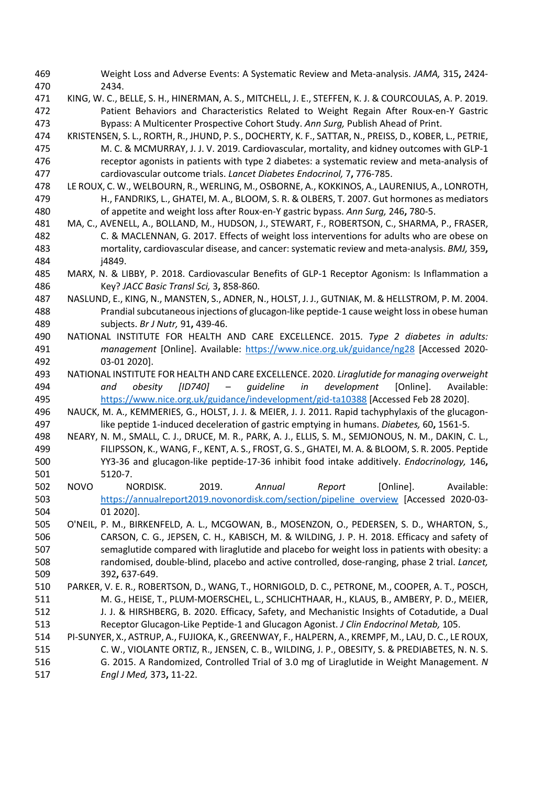- Weight Loss and Adverse Events: A Systematic Review and Meta-analysis. *JAMA,* 315**,** 2424- 2434.
- KING, W. C., BELLE, S. H., HINERMAN, A. S., MITCHELL, J. E., STEFFEN, K. J. & COURCOULAS, A. P. 2019. Patient Behaviors and Characteristics Related to Weight Regain After Roux-en-Y Gastric Bypass: A Multicenter Prospective Cohort Study. *Ann Surg,* Publish Ahead of Print.
- KRISTENSEN, S. L., RORTH, R., JHUND, P. S., DOCHERTY, K. F., SATTAR, N., PREISS, D., KOBER, L., PETRIE, M. C. & MCMURRAY, J. J. V. 2019. Cardiovascular, mortality, and kidney outcomes with GLP-1 receptor agonists in patients with type 2 diabetes: a systematic review and meta-analysis of cardiovascular outcome trials. *Lancet Diabetes Endocrinol,* 7**,** 776-785.
- LE ROUX, C. W., WELBOURN, R., WERLING, M., OSBORNE, A., KOKKINOS, A., LAURENIUS, A., LONROTH, H., FANDRIKS, L., GHATEI, M. A., BLOOM, S. R. & OLBERS, T. 2007. Gut hormones as mediators of appetite and weight loss after Roux-en-Y gastric bypass. *Ann Surg,* 246**,** 780-5.
- MA, C., AVENELL, A., BOLLAND, M., HUDSON, J., STEWART, F., ROBERTSON, C., SHARMA, P., FRASER, C. & MACLENNAN, G. 2017. Effects of weight loss interventions for adults who are obese on mortality, cardiovascular disease, and cancer: systematic review and meta-analysis. *BMJ,* 359**,** j4849.
- MARX, N. & LIBBY, P. 2018. Cardiovascular Benefits of GLP-1 Receptor Agonism: Is Inflammation a Key? *JACC Basic Transl Sci,* 3**,** 858-860.
- NASLUND, E., KING, N., MANSTEN, S., ADNER, N., HOLST, J. J., GUTNIAK, M. & HELLSTROM, P. M. 2004. Prandial subcutaneous injections of glucagon-like peptide-1 cause weight loss in obese human subjects. *Br J Nutr,* 91**,** 439-46.
- NATIONAL INSTITUTE FOR HEALTH AND CARE EXCELLENCE. 2015. *Type 2 diabetes in adults: management* [Online]. Available: https://www.nice.org.uk/guidance/ng28 [Accessed 2020- 03-01 2020].
- NATIONAL INSTITUTE FOR HEALTH AND CARE EXCELLENCE. 2020. *Liraglutide for managing overweight and obesity [ID740] – guideline in development* [Online]. Available: https://www.nice.org.uk/guidance/indevelopment/gid-ta10388 [Accessed Feb 28 2020].
- NAUCK, M. A., KEMMERIES, G., HOLST, J. J. & MEIER, J. J. 2011. Rapid tachyphylaxis of the glucagon-like peptide 1-induced deceleration of gastric emptying in humans. *Diabetes,* 60**,** 1561-5.
- NEARY, N. M., SMALL, C. J., DRUCE, M. R., PARK, A. J., ELLIS, S. M., SEMJONOUS, N. M., DAKIN, C. L., FILIPSSON, K., WANG, F., KENT, A. S., FROST, G. S., GHATEI, M. A. & BLOOM, S. R. 2005. Peptide YY3-36 and glucagon-like peptide-17-36 inhibit food intake additively. *Endocrinology,* 146**,** 5120-7.
- NOVO NORDISK. 2019. *Annual Report* [Online]. Available: 503 https://annualreport2019.novonordisk.com/section/pipeline\_overview [Accessed 2020-03-01 2020].
- O'NEIL, P. M., BIRKENFELD, A. L., MCGOWAN, B., MOSENZON, O., PEDERSEN, S. D., WHARTON, S., CARSON, C. G., JEPSEN, C. H., KABISCH, M. & WILDING, J. P. H. 2018. Efficacy and safety of semaglutide compared with liraglutide and placebo for weight loss in patients with obesity: a randomised, double-blind, placebo and active controlled, dose-ranging, phase 2 trial. *Lancet,* 392**,** 637-649.
- PARKER, V. E. R., ROBERTSON, D., WANG, T., HORNIGOLD, D. C., PETRONE, M., COOPER, A. T., POSCH, M. G., HEISE, T., PLUM-MOERSCHEL, L., SCHLICHTHAAR, H., KLAUS, B., AMBERY, P. D., MEIER, 512 J. J. & HIRSHBERG, B. 2020. Efficacy, Safety, and Mechanistic Insights of Cotadutide, a Dual Receptor Glucagon-Like Peptide-1 and Glucagon Agonist. *J Clin Endocrinol Metab,* 105.
- PI-SUNYER, X., ASTRUP, A., FUJIOKA, K., GREENWAY, F., HALPERN, A., KREMPF, M., LAU, D. C., LE ROUX, C. W., VIOLANTE ORTIZ, R., JENSEN, C. B., WILDING, J. P., OBESITY, S. & PREDIABETES, N. N. S. G. 2015. A Randomized, Controlled Trial of 3.0 mg of Liraglutide in Weight Management. *N Engl J Med,* 373**,** 11-22.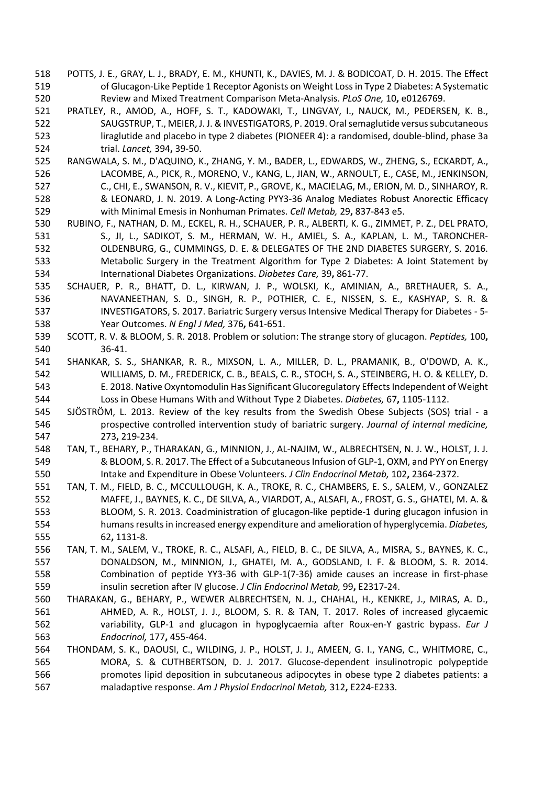- POTTS, J. E., GRAY, L. J., BRADY, E. M., KHUNTI, K., DAVIES, M. J. & BODICOAT, D. H. 2015. The Effect of Glucagon-Like Peptide 1 Receptor Agonists on Weight Loss in Type 2 Diabetes: A Systematic Review and Mixed Treatment Comparison Meta-Analysis. *PLoS One,* 10**,** e0126769.
- PRATLEY, R., AMOD, A., HOFF, S. T., KADOWAKI, T., LINGVAY, I., NAUCK, M., PEDERSEN, K. B., SAUGSTRUP, T., MEIER, J. J. & INVESTIGATORS, P. 2019. Oral semaglutide versus subcutaneous liraglutide and placebo in type 2 diabetes (PIONEER 4): a randomised, double-blind, phase 3a trial. *Lancet,* 394**,** 39-50.
- RANGWALA, S. M., D'AQUINO, K., ZHANG, Y. M., BADER, L., EDWARDS, W., ZHENG, S., ECKARDT, A., LACOMBE, A., PICK, R., MORENO, V., KANG, L., JIAN, W., ARNOULT, E., CASE, M., JENKINSON, C., CHI, E., SWANSON, R. V., KIEVIT, P., GROVE, K., MACIELAG, M., ERION, M. D., SINHAROY, R. & LEONARD, J. N. 2019. A Long-Acting PYY3-36 Analog Mediates Robust Anorectic Efficacy with Minimal Emesis in Nonhuman Primates. *Cell Metab,* 29**,** 837-843 e5.
- RUBINO, F., NATHAN, D. M., ECKEL, R. H., SCHAUER, P. R., ALBERTI, K. G., ZIMMET, P. Z., DEL PRATO, 531 S., JI, L., SADIKOT, S. M., HERMAN, W. H., AMIEL, S. A., KAPLAN, L. M., TARONCHER- OLDENBURG, G., CUMMINGS, D. E. & DELEGATES OF THE 2ND DIABETES SURGERY, S. 2016. Metabolic Surgery in the Treatment Algorithm for Type 2 Diabetes: A Joint Statement by International Diabetes Organizations. *Diabetes Care,* 39**,** 861-77.
- SCHAUER, P. R., BHATT, D. L., KIRWAN, J. P., WOLSKI, K., AMINIAN, A., BRETHAUER, S. A., NAVANEETHAN, S. D., SINGH, R. P., POTHIER, C. E., NISSEN, S. E., KASHYAP, S. R. & INVESTIGATORS, S. 2017. Bariatric Surgery versus Intensive Medical Therapy for Diabetes - 5- Year Outcomes. *N Engl J Med,* 376**,** 641-651.
- SCOTT, R. V. & BLOOM, S. R. 2018. Problem or solution: The strange story of glucagon. *Peptides,* 100**,** 36-41.
- SHANKAR, S. S., SHANKAR, R. R., MIXSON, L. A., MILLER, D. L., PRAMANIK, B., O'DOWD, A. K., WILLIAMS, D. M., FREDERICK, C. B., BEALS, C. R., STOCH, S. A., STEINBERG, H. O. & KELLEY, D. E. 2018. Native Oxyntomodulin Has Significant Glucoregulatory Effects Independent of Weight Loss in Obese Humans With and Without Type 2 Diabetes. *Diabetes,* 67**,** 1105-1112.
- SJÖSTRÖM, L. 2013. Review of the key results from the Swedish Obese Subjects (SOS) trial a prospective controlled intervention study of bariatric surgery. *Journal of internal medicine,* 273**,** 219-234.
- TAN, T., BEHARY, P., THARAKAN, G., MINNION, J., AL-NAJIM, W., ALBRECHTSEN, N. J. W., HOLST, J. J. & BLOOM, S. R. 2017. The Effect of a Subcutaneous Infusion of GLP-1, OXM, and PYY on Energy Intake and Expenditure in Obese Volunteers. *J Clin Endocrinol Metab,* 102**,** 2364-2372.
- TAN, T. M., FIELD, B. C., MCCULLOUGH, K. A., TROKE, R. C., CHAMBERS, E. S., SALEM, V., GONZALEZ MAFFE, J., BAYNES, K. C., DE SILVA, A., VIARDOT, A., ALSAFI, A., FROST, G. S., GHATEI, M. A. & BLOOM, S. R. 2013. Coadministration of glucagon-like peptide-1 during glucagon infusion in humans results in increased energy expenditure and amelioration of hyperglycemia. *Diabetes,* 62**,** 1131-8.
- TAN, T. M., SALEM, V., TROKE, R. C., ALSAFI, A., FIELD, B. C., DE SILVA, A., MISRA, S., BAYNES, K. C., DONALDSON, M., MINNION, J., GHATEI, M. A., GODSLAND, I. F. & BLOOM, S. R. 2014. Combination of peptide YY3-36 with GLP-1(7-36) amide causes an increase in first-phase insulin secretion after IV glucose. *J Clin Endocrinol Metab,* 99**,** E2317-24.
- THARAKAN, G., BEHARY, P., WEWER ALBRECHTSEN, N. J., CHAHAL, H., KENKRE, J., MIRAS, A. D., AHMED, A. R., HOLST, J. J., BLOOM, S. R. & TAN, T. 2017. Roles of increased glycaemic variability, GLP-1 and glucagon in hypoglycaemia after Roux-en-Y gastric bypass. *Eur J Endocrinol,* 177**,** 455-464.
- THONDAM, S. K., DAOUSI, C., WILDING, J. P., HOLST, J. J., AMEEN, G. I., YANG, C., WHITMORE, C., MORA, S. & CUTHBERTSON, D. J. 2017. Glucose-dependent insulinotropic polypeptide promotes lipid deposition in subcutaneous adipocytes in obese type 2 diabetes patients: a maladaptive response. *Am J Physiol Endocrinol Metab,* 312**,** E224-E233.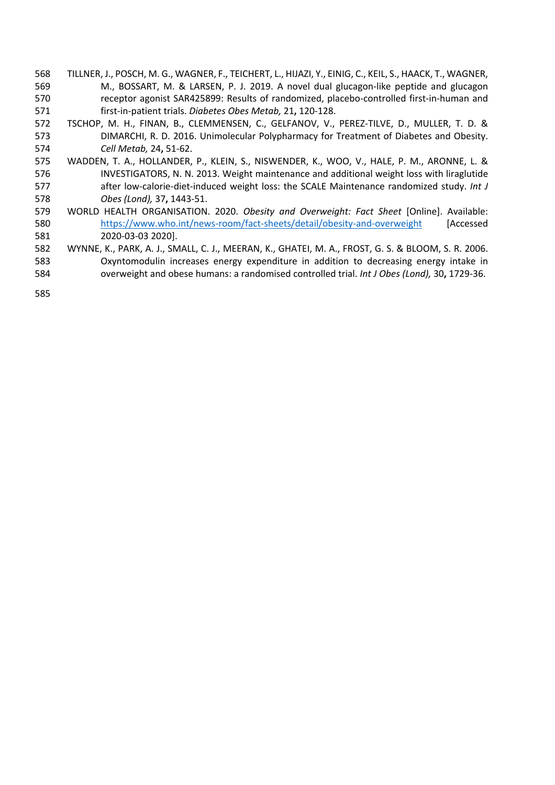- TILLNER, J., POSCH, M. G., WAGNER, F., TEICHERT, L., HIJAZI, Y., EINIG, C., KEIL, S., HAACK, T., WAGNER, M., BOSSART, M. & LARSEN, P. J. 2019. A novel dual glucagon-like peptide and glucagon receptor agonist SAR425899: Results of randomized, placebo-controlled first-in-human and first-in-patient trials. *Diabetes Obes Metab,* 21**,** 120-128.
- TSCHOP, M. H., FINAN, B., CLEMMENSEN, C., GELFANOV, V., PEREZ-TILVE, D., MULLER, T. D. & DIMARCHI, R. D. 2016. Unimolecular Polypharmacy for Treatment of Diabetes and Obesity. *Cell Metab,* 24**,** 51-62.
- WADDEN, T. A., HOLLANDER, P., KLEIN, S., NISWENDER, K., WOO, V., HALE, P. M., ARONNE, L. & INVESTIGATORS, N. N. 2013. Weight maintenance and additional weight loss with liraglutide after low-calorie-diet-induced weight loss: the SCALE Maintenance randomized study. *Int J Obes (Lond),* 37**,** 1443-51.
- WORLD HEALTH ORGANISATION. 2020. *Obesity and Overweight: Fact Sheet* [Online]. Available: https://www.who.int/news-room/fact-sheets/detail/obesity-and-overweight [Accessed 2020-03-03 2020].
- WYNNE, K., PARK, A. J., SMALL, C. J., MEERAN, K., GHATEI, M. A., FROST, G. S. & BLOOM, S. R. 2006. Oxyntomodulin increases energy expenditure in addition to decreasing energy intake in overweight and obese humans: a randomised controlled trial. *Int J Obes (Lond),* 30**,** 1729-36.